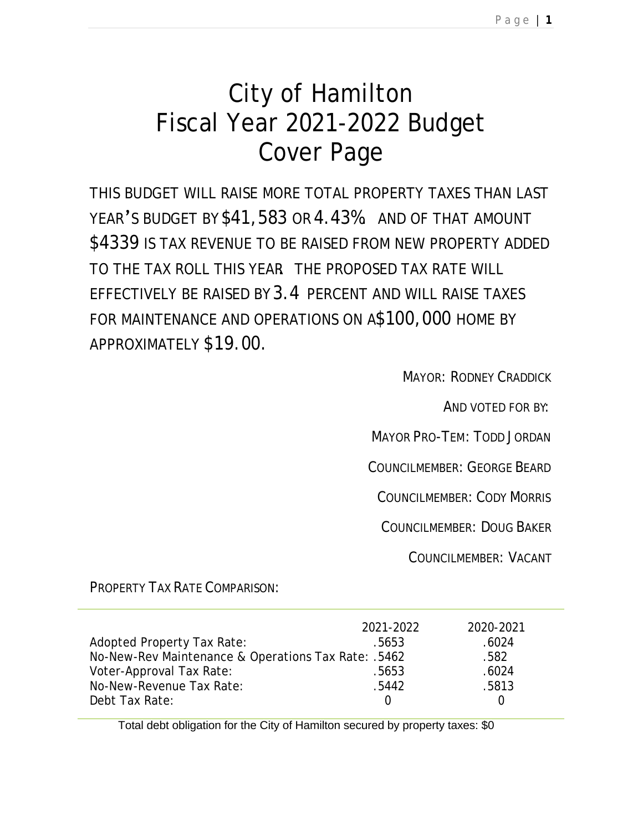# City of Hamilton Fiscal Year 2021-2022 Budget Cover Page

THIS BUDGET WILL RAISE MORE TOTAL PROPERTY TAXES THAN LAST YEAR'S BUDGET BY \$41,583 OR 4.43%. AND OF THAT AMOUNT \$4339 IS TAX REVENUE TO BE RAISED FROM NEW PROPERTY ADDED TO THE TAX ROLL THIS YEAR. THE PROPOSED TAX RATE WILL EFFECTIVELY BE RAISED BY 3.4 PERCENT AND WILL RAISE TAXES FOR MAINTENANCE AND OPERATIONS ON A\$100,000 HOME BY APPROXIMATELY \$19.00.

MAYOR: RODNEY CRADDICK

AND VOTED FOR BY:

MAYOR PRO-TEM: TODD JORDAN

COUNCILMEMBER: GEORGE BEARD

COUNCILMEMBER: CODY MORRIS

COUNCILMEMBER: DOUG BAKER

COUNCILMEMBER: VACANT

PROPERTY TAX RATE COMPARISON:

|                                                     | 2021-2022 | 2020-2021 |
|-----------------------------------------------------|-----------|-----------|
| Adopted Property Tax Rate:                          | .5653     | .6024     |
| No-New-Rev Maintenance & Operations Tax Rate: .5462 |           | .582      |
| Voter-Approval Tax Rate:                            | .5653     | .6024     |
| No-New-Revenue Tax Rate:                            | .5442     | .5813     |
| Debt Tax Rate:                                      |           |           |

Total debt obligation for the City of Hamilton secured by property taxes: \$0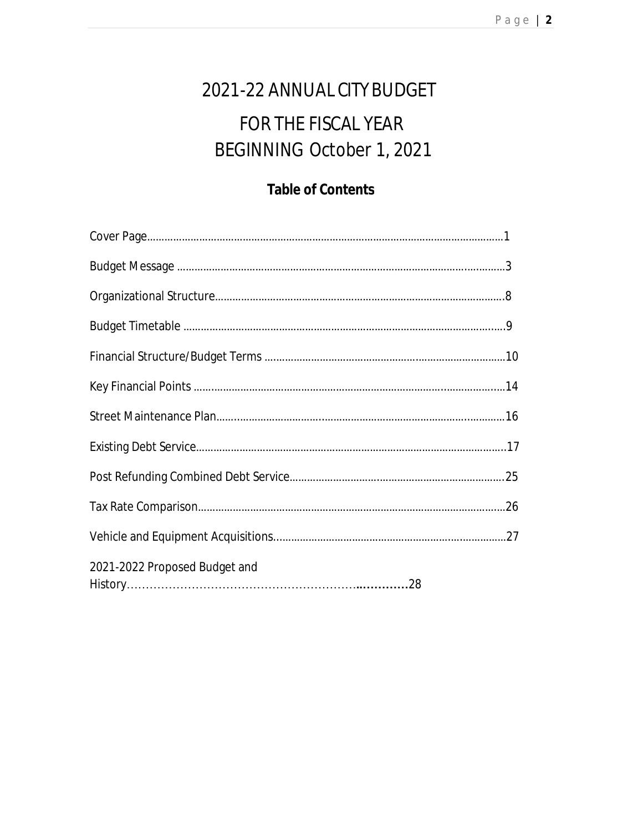# 2021-22 ANNUAL CITY BUDGET FOR THE FISCAL YEAR BEGINNING October 1, 2021

# **Table of Contents**

| 2021-2022 Proposed Budget and |  |
|-------------------------------|--|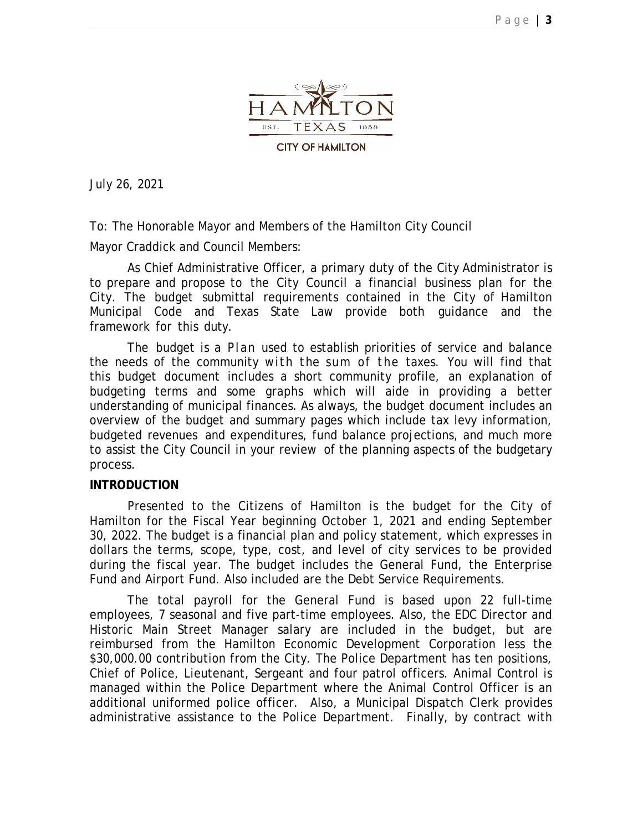

July 26, 2021

To: The Honorable Mayor and Members of the Hamilton City Council

Mayor Craddick and Council Members:

As Chief Administrative Officer, a primary duty of the City Administrator is to prepare and propose to the City Council a financial business plan for the City. The budget submittal requirements contained in the City of Hamilton Municipal Code and Texas State Law provide both guidance and the framework for this duty.

The budget is a Plan used to establish priorities of service and balance the needs of the community with the sum of the taxes. You will find that this budget document includes a short community profile, an explanation of budgeting terms and some graphs which will aide in providing a better understanding of municipal finances. As always, the budget document includes an overview of the budget and summary pages which include tax levy information, budgeted revenues and expenditures, fund balance projections, and much more to assist the City Council in your review of the planning aspects of the budgetary process.

#### **INTRODUCTION**

Presented to the Citizens of Hamilton is the budget for the City of Hamilton for the Fiscal Year beginning October 1, 2021 and ending September 30, 2022. The budget is a financial plan and policy statement, which expresses in dollars the terms, scope, type, cost, and level of city services to be provided during the fiscal year. The budget includes the General Fund, the Enterprise Fund and Airport Fund. Also included are the Debt Service Requirements.

The total payroll for the General Fund is based upon 22 full-time employees, 7 seasonal and five part-time employees. Also, the EDC Director and Historic Main Street Manager salary are included in the budget, but are reimbursed from the Hamilton Economic Development Corporation less the \$30,000.00 contribution from the City. The Police Department has ten positions, Chief of Police, Lieutenant, Sergeant and four patrol officers. Animal Control is managed within the Police Department where the Animal Control Officer is an additional uniformed police officer. Also, a Municipal Dispatch Clerk provides administrative assistance to the Police Department. Finally, by contract with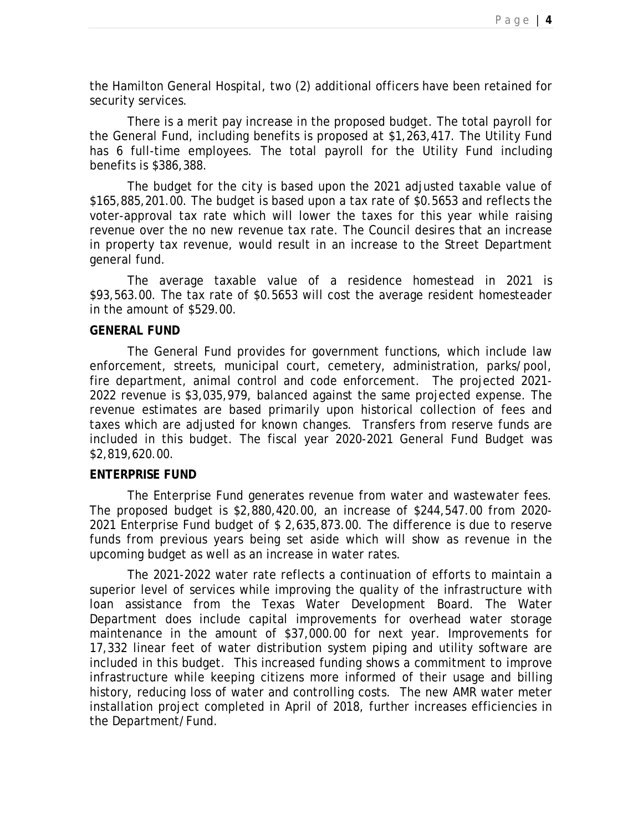the Hamilton General Hospital, two (2) additional officers have been retained for security services.

There is a merit pay increase in the proposed budget. The total payroll for the General Fund, including benefits is proposed at \$1,263,417. The Utility Fund has 6 full-time employees. The total payroll for the Utility Fund including benefits is \$386,388.

The budget for the city is based upon the 2021 adjusted taxable value of \$165,885,201.00. The budget is based upon a tax rate of \$0.5653 and reflects the voter-approval tax rate which will lower the taxes for this year while raising revenue over the no new revenue tax rate. The Council desires that an increase in property tax revenue, would result in an increase to the Street Department general fund.

The average taxable value of a residence homestead in 2021 is \$93,563.00. The tax rate of \$0.5653 will cost the average resident homesteader in the amount of \$529.00.

#### **GENERAL FUND**

The General Fund provides for government functions, which include law enforcement, streets, municipal court, cemetery, administration, parks/pool, fire department, animal control and code enforcement. The projected 2021- 2022 revenue is \$3,035,979, balanced against the same projected expense. The revenue estimates are based primarily upon historical collection of fees and taxes which are adjusted for known changes. Transfers from reserve funds are included in this budget. The fiscal year 2020-2021 General Fund Budget was \$2,819,620.00.

#### **ENTERPRISE FUND**

The Enterprise Fund generates revenue from water and wastewater fees. The proposed budget is \$2,880,420.00, an increase of \$244,547.00 from 2020- 2021 Enterprise Fund budget of \$ 2,635,873.00. The difference is due to reserve funds from previous years being set aside which will show as revenue in the upcoming budget as well as an increase in water rates.

The 2021-2022 water rate reflects a continuation of efforts to maintain a superior level of services while improving the quality of the infrastructure with loan assistance from the Texas Water Development Board. The Water Department does include capital improvements for overhead water storage maintenance in the amount of \$37,000.00 for next year. Improvements for 17,332 linear feet of water distribution system piping and utility software are included in this budget. This increased funding shows a commitment to improve infrastructure while keeping citizens more informed of their usage and billing history, reducing loss of water and controlling costs. The new AMR water meter installation project completed in April of 2018, further increases efficiencies in the Department/Fund.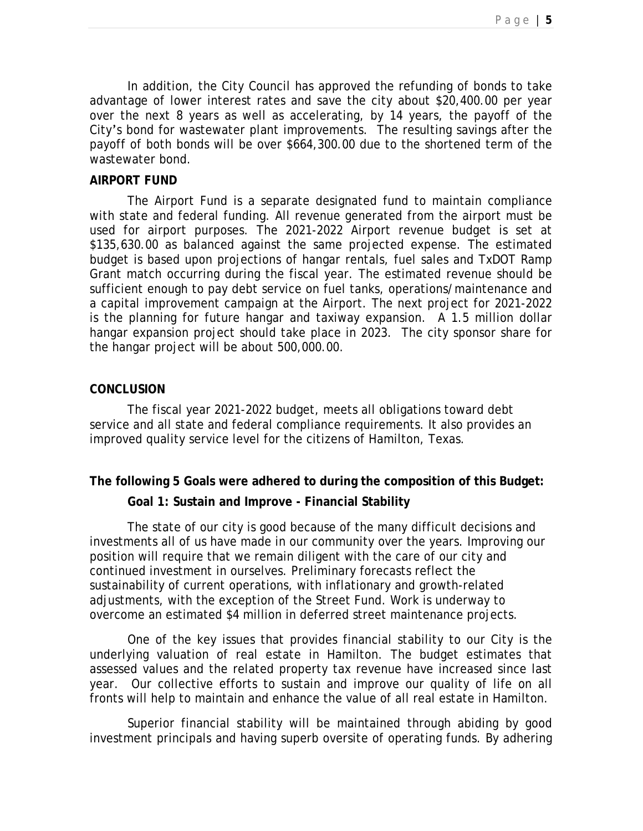In addition, the City Council has approved the refunding of bonds to take advantage of lower interest rates and save the city about \$20,400.00 per year over the next 8 years as well as accelerating, by 14 years, the payoff of the City's bond for wastewater plant improvements. The resulting savings after the payoff of both bonds will be over \$664,300.00 due to the shortened term of the wastewater bond.

#### **AIRPORT FUND**

The Airport Fund is a separate designated fund to maintain compliance with state and federal funding. All revenue generated from the airport must be used for airport purposes. The 2021-2022 Airport revenue budget is set at \$135,630.00 as balanced against the same projected expense. The estimated budget is based upon projections of hangar rentals, fuel sales and TxDOT Ramp Grant match occurring during the fiscal year. The estimated revenue should be sufficient enough to pay debt service on fuel tanks, operations/maintenance and a capital improvement campaign at the Airport. The next project for 2021-2022 is the planning for future hangar and taxiway expansion. A 1.5 million dollar hangar expansion project should take place in 2023. The city sponsor share for the hangar project will be about 500,000.00.

#### **CONCLUSION**

The fiscal year 2021-2022 budget, meets all obligations toward debt service and all state and federal compliance requirements. It also provides an improved quality service level for the citizens of Hamilton, Texas.

#### **The following 5 Goals were adhered to during the composition of this Budget:**

#### **Goal 1: Sustain and Improve - Financial Stability**

The state of our city is good because of the many difficult decisions and investments all of us have made in our community over the years. Improving our position will require that we remain diligent with the care of our city and continued investment in ourselves. Preliminary forecasts reflect the sustainability of current operations, with inflationary and growth-related adjustments, with the exception of the Street Fund. Work is underway to overcome an estimated \$4 million in deferred street maintenance projects.

One of the key issues that provides financial stability to our City is the underlying valuation of real estate in Hamilton. The budget estimates that assessed values and the related property tax revenue have increased since last year. Our collective efforts to sustain and improve our quality of life on all fronts will help to maintain and enhance the value of all real estate in Hamilton.

Superior financial stability will be maintained through abiding by good investment principals and having superb oversite of operating funds. By adhering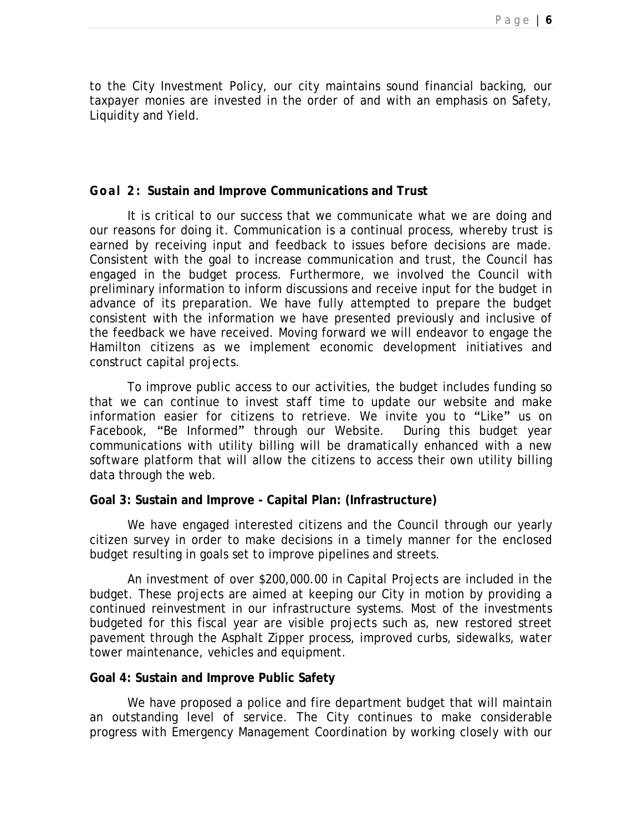to the City Investment Policy, our city maintains sound financial backing, our taxpayer monies are invested in the order of and with an emphasis on Safety, Liquidity and Yield.

#### **Goal 2: Sustain and Improve Communications and Trust**

It is critical to our success that we communicate what we are doing and our reasons for doing it. Communication is a continual process, whereby trust is earned by receiving input and feedback to issues before decisions are made. Consistent with the goal to increase communication and trust, the Council has engaged in the budget process. Furthermore, we involved the Council with preliminary information to inform discussions and receive input for the budget in advance of its preparation. We have fully attempted to prepare the budget consistent with the information we have presented previously and inclusive of the feedback we have received. Moving forward we will endeavor to engage the Hamilton citizens as we implement economic development initiatives and construct capital projects.

To improve public access to our activities, the budget includes funding so that we can continue to invest staff time to update our website and make information easier for citizens to retrieve. We invite you to "Like" us on Facebook, "Be Informed" through our Website. During this budget year communications with utility billing will be dramatically enhanced with a new software platform that will allow the citizens to access their own utility billing data through the web.

#### **Goal 3: Sustain and Improve - Capital Plan: (Infrastructure)**

We have engaged interested citizens and the Council through our yearly citizen survey in order to make decisions in a timely manner for the enclosed budget resulting in goals set to improve pipelines and streets.

An investment of over \$200,000.00 in Capital Projects are included in the budget. These projects are aimed at keeping our City in motion by providing a continued reinvestment in our infrastructure systems. Most of the investments budgeted for this fiscal year are visible projects such as, new restored street pavement through the Asphalt Zipper process, improved curbs, sidewalks, water tower maintenance, vehicles and equipment.

#### **Goal 4: Sustain and Improve Public Safety**

We have proposed a police and fire department budget that will maintain an outstanding level of service. The City continues to make considerable progress with Emergency Management Coordination by working closely with our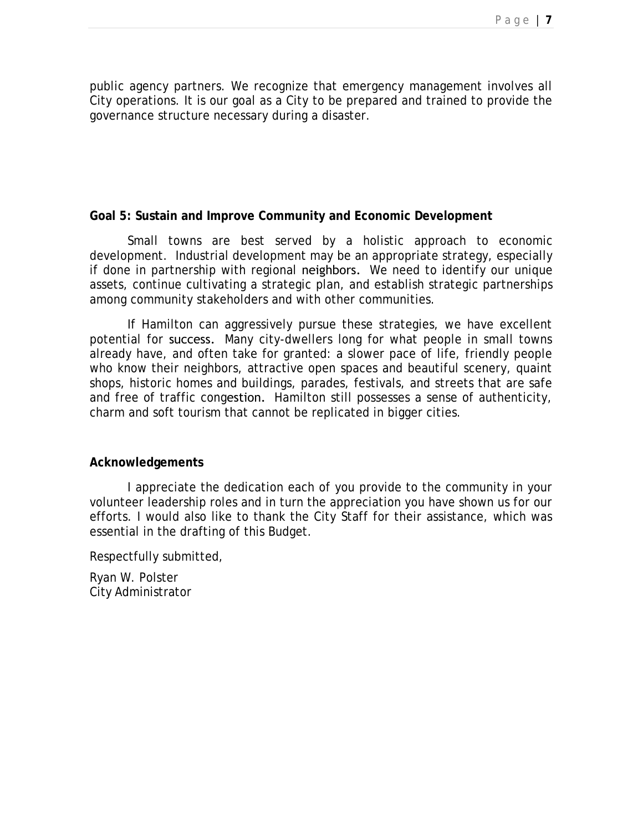public agency partners. We recognize that emergency management involves all City operations. It is our goal as a City to be prepared and trained to provide the governance structure necessary during a disaster.

#### **Goal 5: Sustain and Improve Community and Economic Development**

Small towns are best served by a holistic approach to economic development. Industrial development may be an appropriate strategy, especially if done in partnership with regional neighbors. We need to identify our unique assets, continue cultivating a strategic plan, and establish strategic partnerships among community stakeholders and with other communities.

If Hamilton can aggressively pursue these strategies, we have excellent potential for success. Many city-dwellers long for what people in small towns already have, and often take for granted: a slower pace of life, friendly people who know their neighbors, attractive open spaces and beautiful scenery, quaint shops, historic homes and buildings, parades, festivals, and streets that are safe and free of traffic congestion. Hamilton still possesses a sense of authenticity, charm and soft tourism that cannot be replicated in bigger cities.

#### **Acknowledgements**

I appreciate the dedication each of you provide to the community in your volunteer leadership roles and in turn the appreciation you have shown us for our efforts. I would also like to thank the City Staff for their assistance, which was essential in the drafting of this Budget.

Respectfully submitted,

Ryan W. Polster City Administrator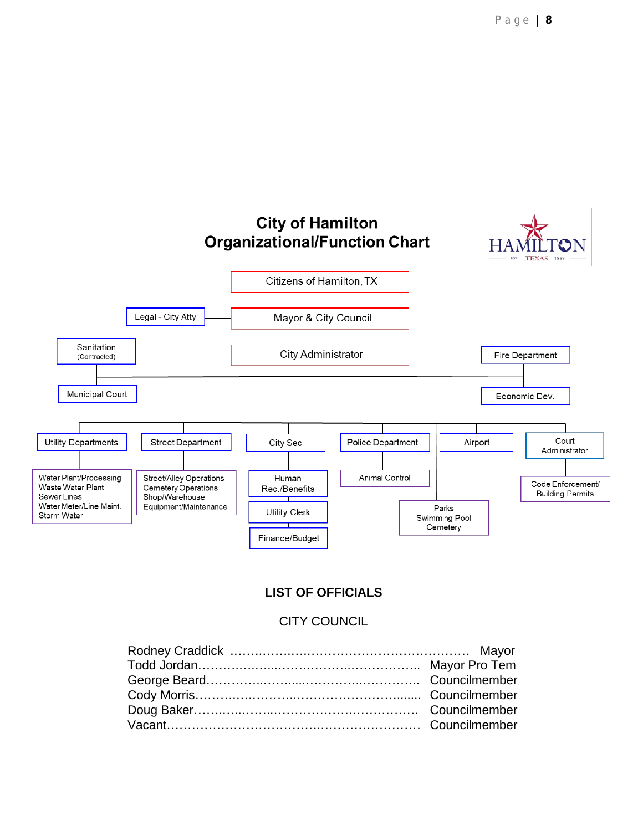

#### **LIST OF OFFICIALS**

#### CITY COUNCIL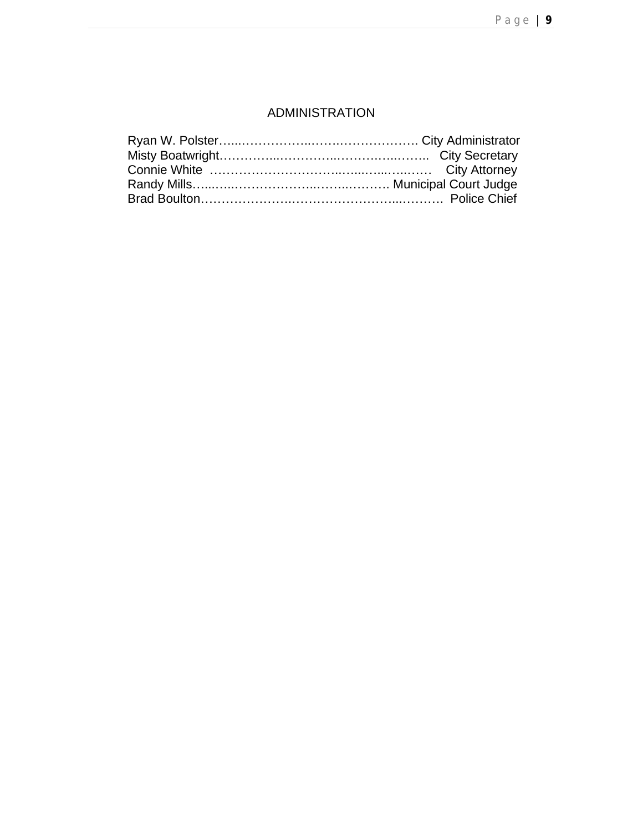#### ADMINISTRATION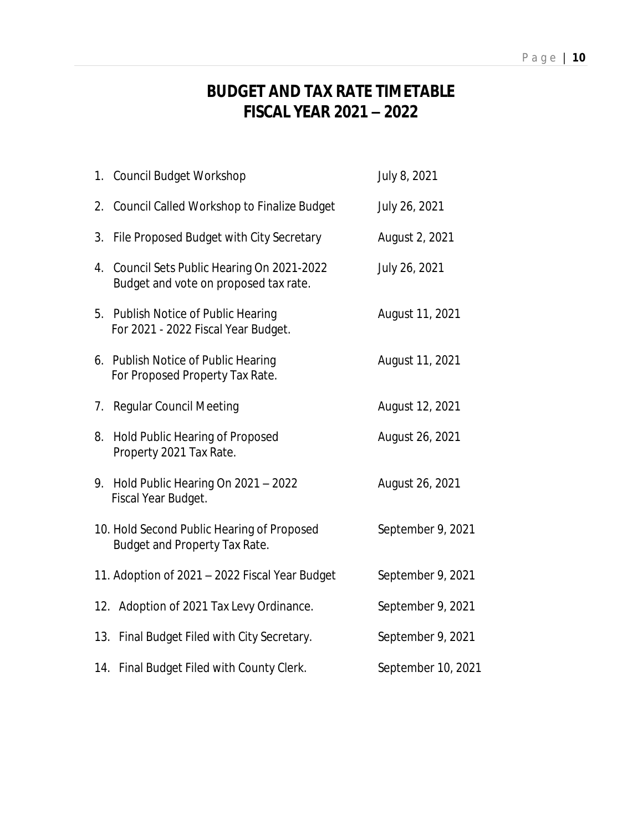# **BUDGET AND TAX RATE TIMETABLE FISCAL YEAR 2021 – 2022**

|    | 1. Council Budget Workshop                                                        | July 8, 2021       |
|----|-----------------------------------------------------------------------------------|--------------------|
|    | 2. Council Called Workshop to Finalize Budget                                     | July 26, 2021      |
|    | 3. File Proposed Budget with City Secretary                                       | August 2, 2021     |
| 4. | Council Sets Public Hearing On 2021-2022<br>Budget and vote on proposed tax rate. | July 26, 2021      |
| 5. | Publish Notice of Public Hearing<br>For 2021 - 2022 Fiscal Year Budget.           | August 11, 2021    |
|    | 6. Publish Notice of Public Hearing<br>For Proposed Property Tax Rate.            | August 11, 2021    |
|    | 7. Regular Council Meeting                                                        | August 12, 2021    |
| 8. | Hold Public Hearing of Proposed<br>Property 2021 Tax Rate.                        | August 26, 2021    |
|    | 9. Hold Public Hearing On 2021 - 2022<br>Fiscal Year Budget.                      | August 26, 2021    |
|    | 10. Hold Second Public Hearing of Proposed<br>Budget and Property Tax Rate.       | September 9, 2021  |
|    | 11. Adoption of 2021 - 2022 Fiscal Year Budget                                    | September 9, 2021  |
|    | 12. Adoption of 2021 Tax Levy Ordinance.                                          | September 9, 2021  |
|    | 13. Final Budget Filed with City Secretary.                                       | September 9, 2021  |
|    | 14. Final Budget Filed with County Clerk.                                         | September 10, 2021 |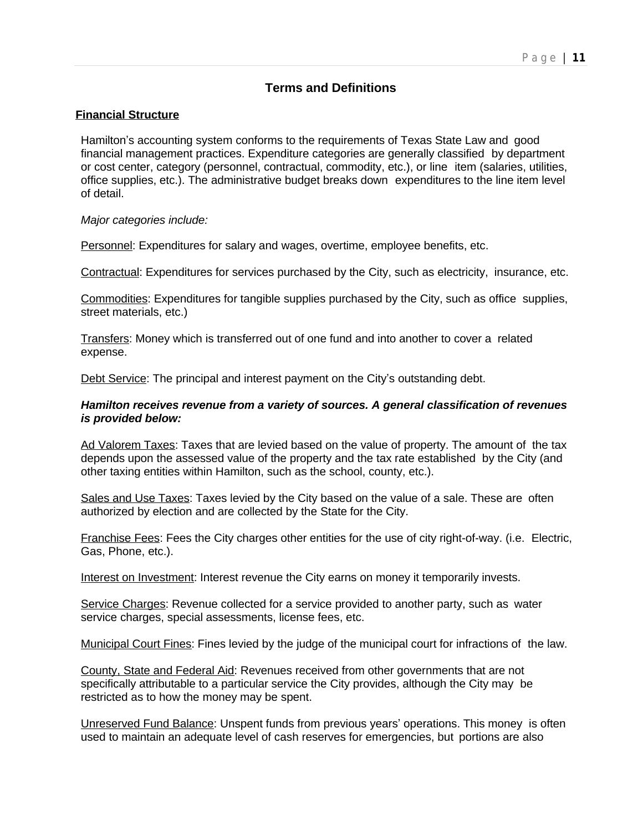#### **Terms and Definitions**

#### **Financial Structure**

Hamilton's accounting system conforms to the requirements of Texas State Law and good financial management practices. Expenditure categories are generally classified by department or cost center, category (personnel, contractual, commodity, etc.), or line item (salaries, utilities, office supplies, etc.). The administrative budget breaks down expenditures to the line item level of detail.

#### *Major categories include:*

Personnel: Expenditures for salary and wages, overtime, employee benefits, etc.

Contractual: Expenditures for services purchased by the City, such as electricity, insurance, etc.

Commodities: Expenditures for tangible supplies purchased by the City, such as office supplies, street materials, etc.)

Transfers: Money which is transferred out of one fund and into another to cover a related expense.

Debt Service: The principal and interest payment on the City's outstanding debt.

#### *Hamilton receives revenue from a variety of sources. A general classification of revenues is provided below:*

Ad Valorem Taxes: Taxes that are levied based on the value of property. The amount of the tax depends upon the assessed value of the property and the tax rate established by the City (and other taxing entities within Hamilton, such as the school, county, etc.).

Sales and Use Taxes: Taxes levied by the City based on the value of a sale. These are often authorized by election and are collected by the State for the City.

Franchise Fees: Fees the City charges other entities for the use of city right-of-way. (i.e. Electric, Gas, Phone, etc.).

Interest on Investment: Interest revenue the City earns on money it temporarily invests.

Service Charges: Revenue collected for a service provided to another party, such as water service charges, special assessments, license fees, etc.

Municipal Court Fines: Fines levied by the judge of the municipal court for infractions of the law.

County, State and Federal Aid: Revenues received from other governments that are not specifically attributable to a particular service the City provides, although the City may be restricted as to how the money may be spent.

Unreserved Fund Balance: Unspent funds from previous years' operations. This money is often used to maintain an adequate level of cash reserves for emergencies, but portions are also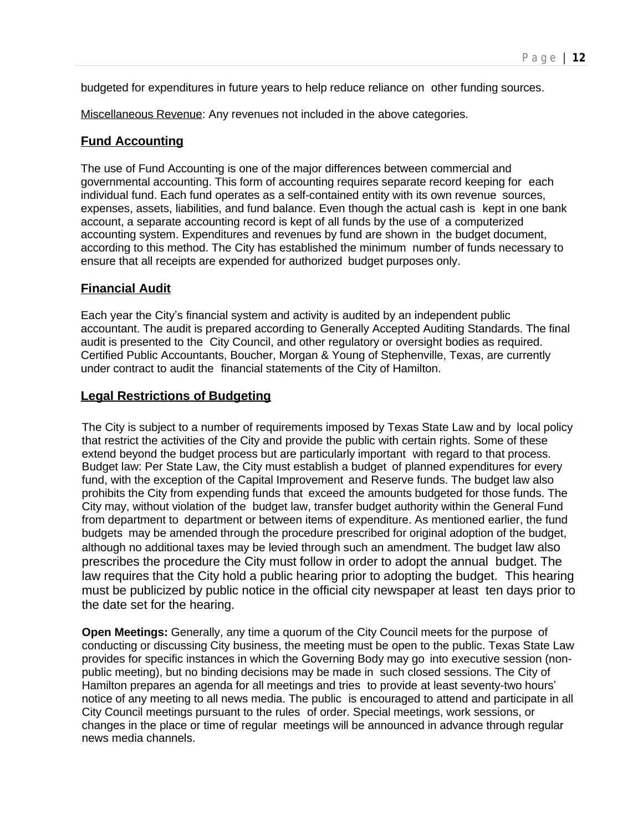budgeted for expenditures in future years to help reduce reliance on other funding sources.

Miscellaneous Revenue: Any revenues not included in the above categories.

#### **Fund Accounting**

The use of Fund Accounting is one of the major differences between commercial and governmental accounting. This form of accounting requires separate record keeping for each individual fund. Each fund operates as a self-contained entity with its own revenue sources, expenses, assets, liabilities, and fund balance. Even though the actual cash is kept in one bank account, a separate accounting record is kept of all funds by the use of a computerized accounting system. Expenditures and revenues by fund are shown in the budget document, according to this method. The City has established the minimum number of funds necessary to ensure that all receipts are expended for authorized budget purposes only.

#### **Financial Audit**

Each year the City's financial system and activity is audited by an independent public accountant. The audit is prepared according to Generally Accepted Auditing Standards. The final audit is presented to the City Council, and other regulatory or oversight bodies as required. Certified Public Accountants, Boucher, Morgan & Young of Stephenville, Texas, are currently under contract to audit the financial statements of the City of Hamilton.

#### **Legal Restrictions of Budgeting**

The City is subject to a number of requirements imposed by Texas State Law and by local policy that restrict the activities of the City and provide the public with certain rights. Some of these extend beyond the budget process but are particularly important with regard to that process. Budget law: Per State Law, the City must establish a budget of planned expenditures for every fund, with the exception of the Capital Improvement and Reserve funds. The budget law also prohibits the City from expending funds that exceed the amounts budgeted for those funds. The City may, without violation of the budget law, transfer budget authority within the General Fund from department to department or between items of expenditure. As mentioned earlier, the fund budgets may be amended through the procedure prescribed for original adoption of the budget, although no additional taxes may be levied through such an amendment. The budget law also prescribes the procedure the City must follow in order to adopt the annual budget. The law requires that the City hold a public hearing prior to adopting the budget. This hearing must be publicized by public notice in the official city newspaper at least ten days prior to the date set for the hearing.

**Open Meetings:** Generally, any time a quorum of the City Council meets for the purpose of conducting or discussing City business, the meeting must be open to the public. Texas State Law provides for specific instances in which the Governing Body may go into executive session (nonpublic meeting), but no binding decisions may be made in such closed sessions. The City of Hamilton prepares an agenda for all meetings and tries to provide at least seventy-two hours' notice of any meeting to all news media. The public is encouraged to attend and participate in all City Council meetings pursuant to the rules of order. Special meetings, work sessions, or changes in the place or time of regular meetings will be announced in advance through regular news media channels.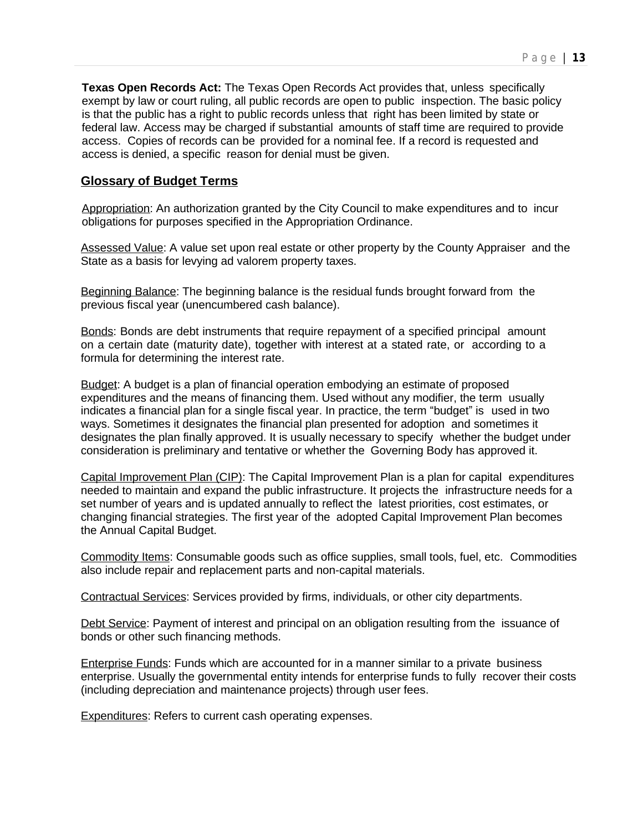**Texas Open Records Act:** The Texas Open Records Act provides that, unless specifically exempt by law or court ruling, all public records are open to public inspection. The basic policy is that the public has a right to public records unless that right has been limited by state or federal law. Access may be charged if substantial amounts of staff time are required to provide access. Copies of records can be provided for a nominal fee. If a record is requested and access is denied, a specific reason for denial must be given.

#### **Glossary of Budget Terms**

Appropriation: An authorization granted by the City Council to make expenditures and to incur obligations for purposes specified in the Appropriation Ordinance.

Assessed Value: A value set upon real estate or other property by the County Appraiser and the State as a basis for levying ad valorem property taxes.

Beginning Balance: The beginning balance is the residual funds brought forward from the previous fiscal year (unencumbered cash balance).

Bonds: Bonds are debt instruments that require repayment of a specified principal amount on a certain date (maturity date), together with interest at a stated rate, or according to a formula for determining the interest rate.

Budget: A budget is a plan of financial operation embodying an estimate of proposed expenditures and the means of financing them. Used without any modifier, the term usually indicates a financial plan for a single fiscal year. In practice, the term "budget" is used in two ways. Sometimes it designates the financial plan presented for adoption and sometimes it designates the plan finally approved. It is usually necessary to specify whether the budget under consideration is preliminary and tentative or whether the Governing Body has approved it.

Capital Improvement Plan (CIP): The Capital Improvement Plan is a plan for capital expenditures needed to maintain and expand the public infrastructure. It projects the infrastructure needs for a set number of years and is updated annually to reflect the latest priorities, cost estimates, or changing financial strategies. The first year of the adopted Capital Improvement Plan becomes the Annual Capital Budget.

Commodity Items: Consumable goods such as office supplies, small tools, fuel, etc. Commodities also include repair and replacement parts and non-capital materials.

Contractual Services: Services provided by firms, individuals, or other city departments.

Debt Service: Payment of interest and principal on an obligation resulting from the issuance of bonds or other such financing methods.

Enterprise Funds: Funds which are accounted for in a manner similar to a private business enterprise. Usually the governmental entity intends for enterprise funds to fully recover their costs (including depreciation and maintenance projects) through user fees.

Expenditures: Refers to current cash operating expenses.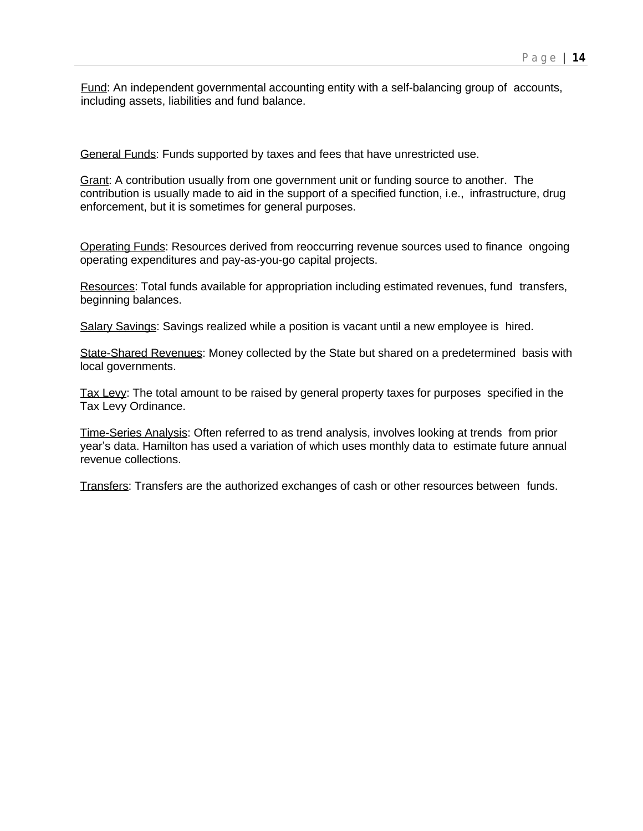Fund: An independent governmental accounting entity with a self-balancing group of accounts, including assets, liabilities and fund balance.

General Funds: Funds supported by taxes and fees that have unrestricted use.

Grant: A contribution usually from one government unit or funding source to another. The contribution is usually made to aid in the support of a specified function, i.e., infrastructure, drug enforcement, but it is sometimes for general purposes.

Operating Funds: Resources derived from reoccurring revenue sources used to finance ongoing operating expenditures and pay-as-you-go capital projects.

Resources: Total funds available for appropriation including estimated revenues, fund transfers, beginning balances.

Salary Savings: Savings realized while a position is vacant until a new employee is hired.

State-Shared Revenues: Money collected by the State but shared on a predetermined basis with local governments.

Tax Levy: The total amount to be raised by general property taxes for purposes specified in the Tax Levy Ordinance.

Time-Series Analysis: Often referred to as trend analysis, involves looking at trends from prior year's data. Hamilton has used a variation of which uses monthly data to estimate future annual revenue collections.

Transfers: Transfers are the authorized exchanges of cash or other resources between funds.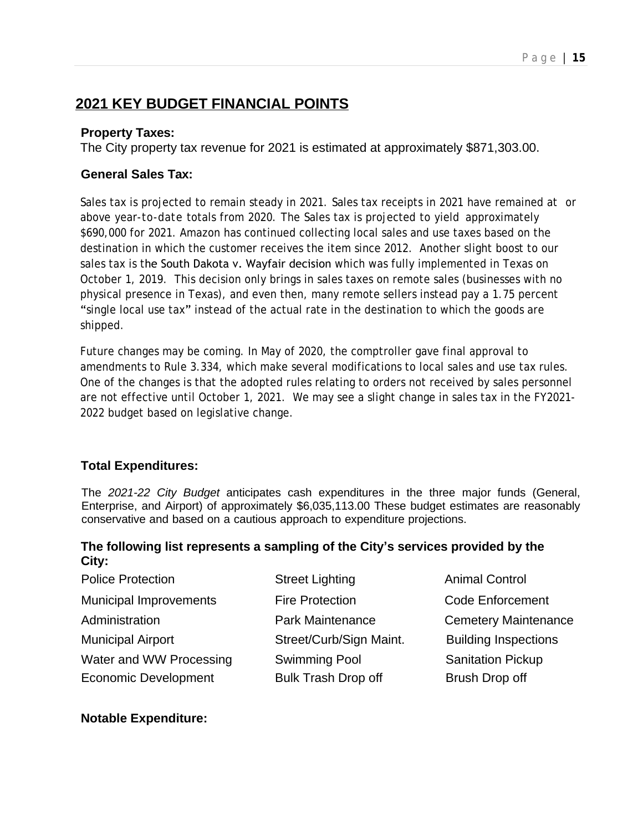## **2021 KEY BUDGET FINANCIAL POINTS**

#### **Property Taxes:**

The City property tax revenue for 2021 is estimated at approximately \$871,303.00.

#### **General Sales Tax:**

Sales tax is projected to remain steady in 2021. Sales tax receipts in 2021 have remained at or above year-to-date totals from 2020. The Sales tax is projected to yield approximately \$690,000 for 2021. Amazon has continued collecting local sales and use taxes based on the destination in which the customer receives the item since 2012. Another slight boost to our sales tax is the South Dakota v. Wayfair decision which was fully implemented in Texas on October 1, 2019. This decision only brings in sales taxes on remote sales (businesses with no physical presence in Texas), and even then, many remote sellers instead pay a 1.75 percent "single local use tax" instead of the actual rate in the destination to which the goods are shipped.

Future changes may be coming. In May of 2020, the comptroller gave final approval to amendments to Rule 3.334, which make several modifications to local sales and use tax rules. One of the changes is that the adopted rules relating to orders not received by sales personnel are not effective until October 1, 2021. We may see a slight change in sales tax in the FY2021- 2022 budget based on legislative change.

#### **Total Expenditures:**

The *2021-22 City Budget* anticipates cash expenditures in the three major funds (General, Enterprise, and Airport) of approximately \$6,035,113.00 These budget estimates are reasonably conservative and based on a cautious approach to expenditure projections.

#### **The following list represents a sampling of the City's services provided by the City:**

| <b>Police Protection</b>      | <b>Street Lighting</b>     | <b>Animal Control</b>       |
|-------------------------------|----------------------------|-----------------------------|
| <b>Municipal Improvements</b> | <b>Fire Protection</b>     | <b>Code Enforcement</b>     |
| Administration                | <b>Park Maintenance</b>    | <b>Cemetery Maintenance</b> |
| <b>Municipal Airport</b>      | Street/Curb/Sign Maint.    | <b>Building Inspections</b> |
| Water and WW Processing       | <b>Swimming Pool</b>       | <b>Sanitation Pickup</b>    |
| <b>Economic Development</b>   | <b>Bulk Trash Drop off</b> | Brush Drop off              |

#### **Notable Expenditure:**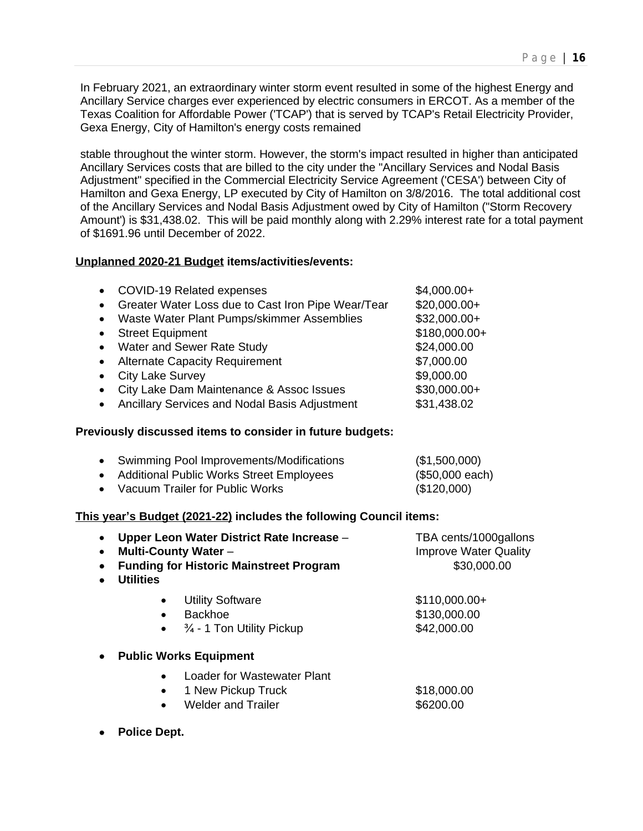In February 2021, an extraordinary winter storm event resulted in some of the highest Energy and Ancillary Service charges ever experienced by electric consumers in ERCOT. As a member of the Texas Coalition for Affordable Power ('TCAP') that is served by TCAP's Retail Electricity Provider, Gexa Energy, City of Hamilton's energy costs remained

stable throughout the winter storm. However, the storm's impact resulted in higher than anticipated Ancillary Services costs that are billed to the city under the "Ancillary Services and Nodal Basis Adjustment" specified in the Commercial Electricity Service Agreement ('CESA') between City of Hamilton and Gexa Energy, LP executed by City of Hamilton on 3/8/2016. The total additional cost of the Ancillary Services and Nodal Basis Adjustment owed by City of Hamilton ("Storm Recovery Amount') is \$31,438.02. This will be paid monthly along with 2.29% interest rate for a total payment of \$1691.96 until December of 2022.

#### **Unplanned 2020-21 Budget items/activities/events:**

| $\bullet$ | <b>COVID-19 Related expenses</b>                   | $$4,000.00+$  |
|-----------|----------------------------------------------------|---------------|
| $\bullet$ | Greater Water Loss due to Cast Iron Pipe Wear/Tear | $$20,000.00+$ |
| $\bullet$ | Waste Water Plant Pumps/skimmer Assemblies         | $$32,000.00+$ |
| $\bullet$ | <b>Street Equipment</b>                            | \$180,000.00+ |
| $\bullet$ | Water and Sewer Rate Study                         | \$24,000.00   |
| $\bullet$ | <b>Alternate Capacity Requirement</b>              | \$7,000.00    |
|           | <b>City Lake Survey</b>                            | \$9,000.00    |
|           | City Lake Dam Maintenance & Assoc Issues           | $$30,000.00+$ |
|           | Ancillary Services and Nodal Basis Adjustment      | \$31,438.02   |

#### **Previously discussed items to consider in future budgets:**

| • Swimming Pool Improvements/Modifications | (\$1,500,000)   |
|--------------------------------------------|-----------------|
| • Additional Public Works Street Employees | (\$50,000 each) |
| • Vacuum Trailer for Public Works          | (\$120,000)     |

#### **This year's Budget (2021-22) includes the following Council items:**

| Upper Leon Water District Rate Increase -<br><b>Multi-County Water -</b><br><b>Funding for Historic Mainstreet Program</b><br><b>Utilities</b>         | TBA cents/1000gallons<br><b>Improve Water Quality</b><br>\$30,000.00 |  |
|--------------------------------------------------------------------------------------------------------------------------------------------------------|----------------------------------------------------------------------|--|
| <b>Utility Software</b><br>$\bullet$<br><b>Backhoe</b><br>$\bullet$<br>$\frac{3}{4}$ - 1 Ton Utility Pickup<br>$\bullet$                               | $$110,000.00+$<br>\$130,000.00<br>\$42,000.00                        |  |
| <b>Public Works Equipment</b><br>Loader for Wastewater Plant<br>$\bullet$<br>1 New Pickup Truck<br>$\bullet$<br><b>Welder and Trailer</b><br>$\bullet$ | \$18,000.00<br>\$6200.00                                             |  |

**Police Dept.**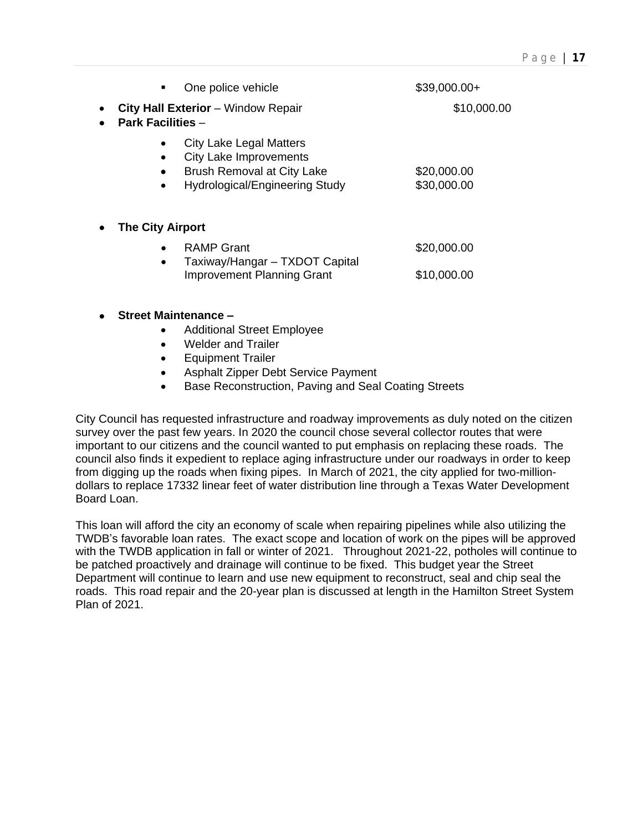| One police vehicle<br>٠                                                                                                         | $$39,000.00+$              |
|---------------------------------------------------------------------------------------------------------------------------------|----------------------------|
| <b>City Hall Exterior</b> – Window Repair<br><b>Park Facilities -</b>                                                           | \$10,000.00                |
| <b>City Lake Legal Matters</b><br><b>City Lake Improvements</b><br>Brush Removal at City Lake<br>Hydrological/Engineering Study | \$20,000.00<br>\$30,000.00 |
| <b>The City Airport</b>                                                                                                         |                            |
| <b>RAMP Grant</b><br>Taxiway/Hangar - TXDOT Capital                                                                             | \$20,000.00                |
| <b>Improvement Planning Grant</b>                                                                                               | \$10,000.00                |
| <b>Street Maintenance -</b>                                                                                                     |                            |
| <b>Additional Street Employee</b><br>Welder and Trailer                                                                         |                            |

- **•** Equipment Trailer
- Asphalt Zipper Debt Service Payment
- Base Reconstruction, Paving and Seal Coating Streets

City Council has requested infrastructure and roadway improvements as duly noted on the citizen survey over the past few years. In 2020 the council chose several collector routes that were important to our citizens and the council wanted to put emphasis on replacing these roads. The council also finds it expedient to replace aging infrastructure under our roadways in order to keep from digging up the roads when fixing pipes. In March of 2021, the city applied for two-milliondollars to replace 17332 linear feet of water distribution line through a Texas Water Development Board Loan.

This loan will afford the city an economy of scale when repairing pipelines while also utilizing the TWDB's favorable loan rates. The exact scope and location of work on the pipes will be approved with the TWDB application in fall or winter of 2021. Throughout 2021-22, potholes will continue to be patched proactively and drainage will continue to be fixed. This budget year the Street Department will continue to learn and use new equipment to reconstruct, seal and chip seal the roads. This road repair and the 20-year plan is discussed at length in the Hamilton Street System Plan of 2021.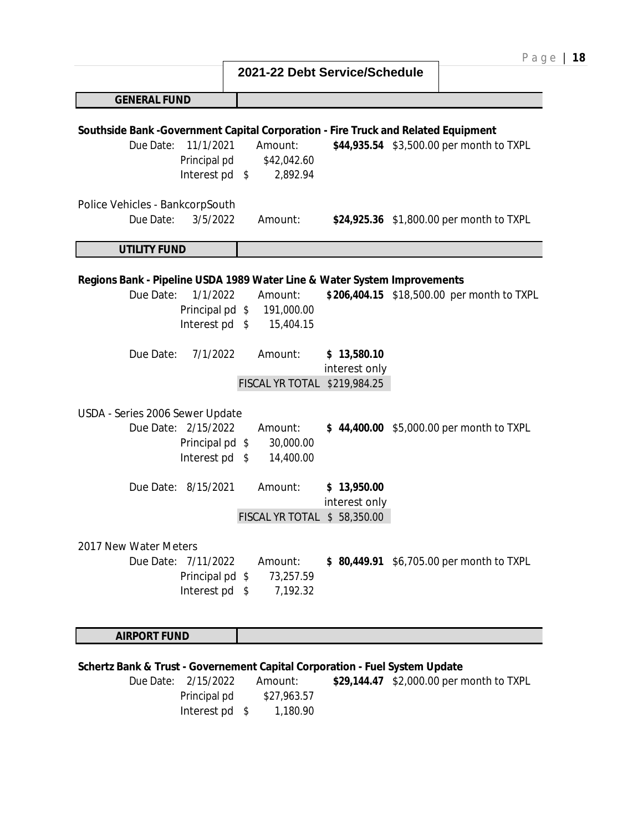|                                                                                                                                                |            |                                         |                                             | Pag                                        |
|------------------------------------------------------------------------------------------------------------------------------------------------|------------|-----------------------------------------|---------------------------------------------|--------------------------------------------|
|                                                                                                                                                |            | 2021-22 Debt Service/Schedule           |                                             |                                            |
| <b>GENERAL FUND</b>                                                                                                                            |            |                                         |                                             |                                            |
| Southside Bank - Government Capital Corporation - Fire Truck and Related Equipment<br>11/1/2021<br>Due Date:<br>Principal pd<br>Interest pd \$ |            | Amount:<br>\$42,042.60<br>2,892.94      |                                             | \$44,935.54 \$3,500.00 per month to TXPL   |
| Police Vehicles - BankcorpSouth<br>3/5/2022<br>Due Date:                                                                                       |            | Amount:                                 |                                             | \$24,925.36 \$1,800.00 per month to TXPL   |
| <b>UTILITY FUND</b>                                                                                                                            |            |                                         |                                             |                                            |
| Regions Bank - Pipeline USDA 1989 Water Line & Water System Improvements<br>Due Date:<br>1/1/2022<br>Principal pd \$<br>Interest pd \$         |            | Amount:<br>191,000.00<br>15,404.15      |                                             | \$206,404.15 \$18,500.00 per month to TXPL |
| Due Date:<br>7/1/2022                                                                                                                          |            | Amount:<br>FISCAL YR TOTAL \$219,984.25 | \$13,580.10<br>interest only                |                                            |
| USDA - Series 2006 Sewer Update<br>Due Date: 2/15/2022<br>Principal pd \$<br>Interest pd \$                                                    |            | Amount:<br>30,000.00<br>14,400.00       |                                             | \$44,400.00 \$5,000.00 per month to TXPL   |
| Due Date: 8/15/2021                                                                                                                            |            | Amount:<br>FISCAL YR TOTAL              | \$13,950.00<br>interest only<br>\$58,350.00 |                                            |
| 2017 New Water Meters<br>Due Date: 7/11/2022<br>Principal pd \$<br>Interest pd                                                                 | $^{\circ}$ | Amount:<br>73,257.59<br>7,192.32        |                                             | \$80,449.91 \$6,705.00 per month to TXPL   |
| <b>AIRPORT FUND</b>                                                                                                                            |            |                                         |                                             |                                            |

## **Schertz Bank & Trust - Governement Capital Corporation - Fuel System Update**

| Due Date: 2/15/2022 | Amount:     | \$29,144.47 \$2,000.00 per month to TXPL |
|---------------------|-------------|------------------------------------------|
| Principal pd        | \$27,963.57 |                                          |
| Interest pd \$      | 1.180.90    |                                          |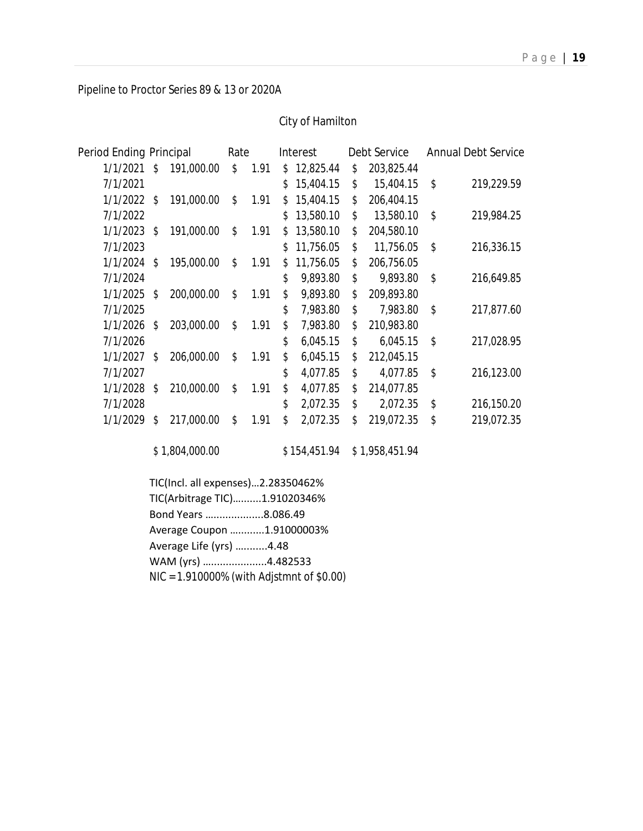Pipeline to Proctor Series 89 & 13 or 2020A

#### City of Hamilton

| Period Ending Principal |     |            | Rate |      |     | Interest  | Debt Service     | <b>Annual Debt Service</b> |
|-------------------------|-----|------------|------|------|-----|-----------|------------------|----------------------------|
| 1/1/2021                | \$  | 191,000.00 | \$   | 1.91 | \$  | 12,825.44 | \$<br>203,825.44 |                            |
| 7/1/2021                |     |            |      |      | \$. | 15,404.15 | \$<br>15,404.15  | \$<br>219,229.59           |
| 1/1/2022                | \$  | 191,000.00 | \$   | 1.91 | \$  | 15,404.15 | \$<br>206,404.15 |                            |
| 7/1/2022                |     |            |      |      | \$  | 13,580.10 | \$<br>13,580.10  | \$<br>219,984.25           |
| $1/1/2023$ \$           |     | 191,000.00 | \$   | 1.91 | \$  | 13,580.10 | \$<br>204,580.10 |                            |
| 7/1/2023                |     |            |      |      | \$. | 11,756.05 | \$<br>11,756.05  | \$<br>216,336.15           |
| 1/1/2024                | \$  | 195,000.00 | \$   | 1.91 | \$  | 11,756.05 | \$<br>206,756.05 |                            |
| 7/1/2024                |     |            |      |      | \$  | 9,893.80  | \$<br>9,893.80   | \$<br>216,649.85           |
| 1/1/2025                | \$  | 200,000.00 | \$   | 1.91 | \$  | 9,893.80  | \$<br>209,893.80 |                            |
| 7/1/2025                |     |            |      |      | \$  | 7,983.80  | \$<br>7,983.80   | \$<br>217,877.60           |
| 1/1/2026                | \$. | 203,000.00 | \$   | 1.91 | \$  | 7,983.80  | \$<br>210,983.80 |                            |
| 7/1/2026                |     |            |      |      | \$  | 6,045.15  | \$<br>6,045.15   | \$<br>217,028.95           |
| 1/1/2027                | \$  | 206,000.00 | \$   | 1.91 | \$  | 6,045.15  | \$<br>212,045.15 |                            |
| 7/1/2027                |     |            |      |      | \$  | 4,077.85  | \$<br>4,077.85   | \$<br>216,123.00           |
| 1/1/2028                | \$  | 210,000.00 | \$   | 1.91 | \$  | 4,077.85  | \$<br>214,077.85 |                            |
| 7/1/2028                |     |            |      |      | \$  | 2,072.35  | \$<br>2,072.35   | \$<br>216,150.20           |
| 1/1/2029                | \$  | 217,000.00 | \$   | 1.91 | \$  | 2,072.35  | \$<br>219,072.35 | \$<br>219,072.35           |
|                         |     |            |      |      |     |           |                  |                            |

\$ 1,804,000.00 \$ 154,451.94 \$ 1,958,451.94

TIC(Incl. all expenses)…2.28350462% TIC(Arbitrage TIC)….......1.91020346% Bond Years ….................8.086.49 Average Coupon ….........1.91000003% Average Life (yrs) …........4.48 WAM (yrs) …...................4.482533 NIC = 1.910000% (with Adjstmnt of \$0.00)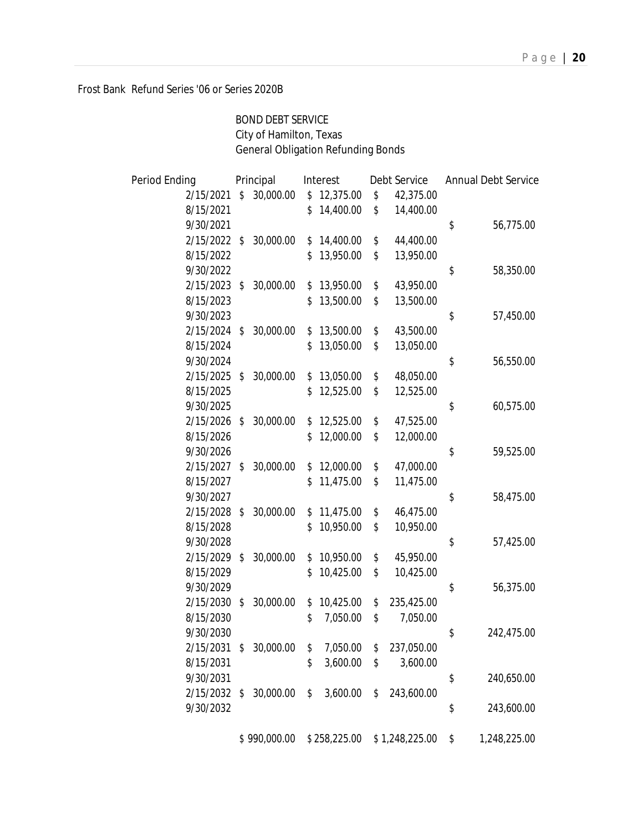Frost Bank Refund Series '06 or Series 2020B

BOND DEBT SERVICE City of Hamilton, Texas General Obligation Refunding Bonds

| Period Ending | Principal |              | Interest        | Debt Service     | <b>Annual Debt Service</b> |              |
|---------------|-----------|--------------|-----------------|------------------|----------------------------|--------------|
| 2/15/2021     | \$        | 30,000.00    | \$<br>12,375.00 | \$<br>42,375.00  |                            |              |
| 8/15/2021     |           |              | \$<br>14,400.00 | \$<br>14,400.00  |                            |              |
| 9/30/2021     |           |              |                 |                  | \$                         | 56,775.00    |
| 2/15/2022     | \$        | 30,000.00    | \$<br>14,400.00 | \$<br>44,400.00  |                            |              |
| 8/15/2022     |           |              | \$<br>13,950.00 | \$<br>13,950.00  |                            |              |
| 9/30/2022     |           |              |                 |                  | \$                         | 58,350.00    |
| 2/15/2023     | \$        | 30,000.00    | \$<br>13,950.00 | \$<br>43,950.00  |                            |              |
| 8/15/2023     |           |              | \$<br>13,500.00 | \$<br>13,500.00  |                            |              |
| 9/30/2023     |           |              |                 |                  | \$                         | 57,450.00    |
| 2/15/2024     | \$        | 30,000.00    | \$<br>13,500.00 | \$<br>43,500.00  |                            |              |
| 8/15/2024     |           |              | \$<br>13,050.00 | \$<br>13,050.00  |                            |              |
| 9/30/2024     |           |              |                 |                  | \$                         | 56,550.00    |
| 2/15/2025     | \$        | 30,000.00    | \$<br>13,050.00 | \$<br>48,050.00  |                            |              |
| 8/15/2025     |           |              | \$<br>12,525.00 | \$<br>12,525.00  |                            |              |
| 9/30/2025     |           |              |                 |                  | \$                         | 60,575.00    |
| 2/15/2026     | \$        | 30,000.00    | \$<br>12,525.00 | \$<br>47,525.00  |                            |              |
| 8/15/2026     |           |              | \$<br>12,000.00 | \$<br>12,000.00  |                            |              |
| 9/30/2026     |           |              |                 |                  | \$                         | 59,525.00    |
| 2/15/2027     | \$        | 30,000.00    | \$<br>12,000.00 | \$<br>47,000.00  |                            |              |
| 8/15/2027     |           |              | \$<br>11,475.00 | \$<br>11,475.00  |                            |              |
| 9/30/2027     |           |              |                 |                  | \$                         | 58,475.00    |
| 2/15/2028     | \$        | 30,000.00    | \$<br>11,475.00 | \$<br>46,475.00  |                            |              |
| 8/15/2028     |           |              | \$<br>10,950.00 | \$<br>10,950.00  |                            |              |
| 9/30/2028     |           |              |                 |                  | \$                         | 57,425.00    |
| 2/15/2029     | \$        | 30,000.00    | \$<br>10,950.00 | \$<br>45,950.00  |                            |              |
| 8/15/2029     |           |              | \$<br>10,425.00 | \$<br>10,425.00  |                            |              |
| 9/30/2029     |           |              |                 |                  | \$                         | 56,375.00    |
| 2/15/2030     | \$        | 30,000.00    | \$<br>10,425.00 | \$<br>235,425.00 |                            |              |
| 8/15/2030     |           |              | \$<br>7,050.00  | \$<br>7,050.00   |                            |              |
| 9/30/2030     |           |              |                 |                  | \$                         | 242,475.00   |
| 2/15/2031     | S         | 30,000.00    | \$<br>7,050.00  | \$<br>237,050.00 |                            |              |
| 8/15/2031     |           |              | \$<br>3,600.00  | \$<br>3,600.00   |                            |              |
| 9/30/2031     |           |              |                 |                  | \$                         | 240,650.00   |
| 2/15/2032     | \$        | 30,000.00    | \$<br>3,600.00  | \$<br>243,600.00 |                            |              |
| 9/30/2032     |           |              |                 |                  | \$                         | 243,600.00   |
|               |           | \$990,000.00 | \$258,225.00    | \$1,248,225.00   | \$                         | 1,248,225.00 |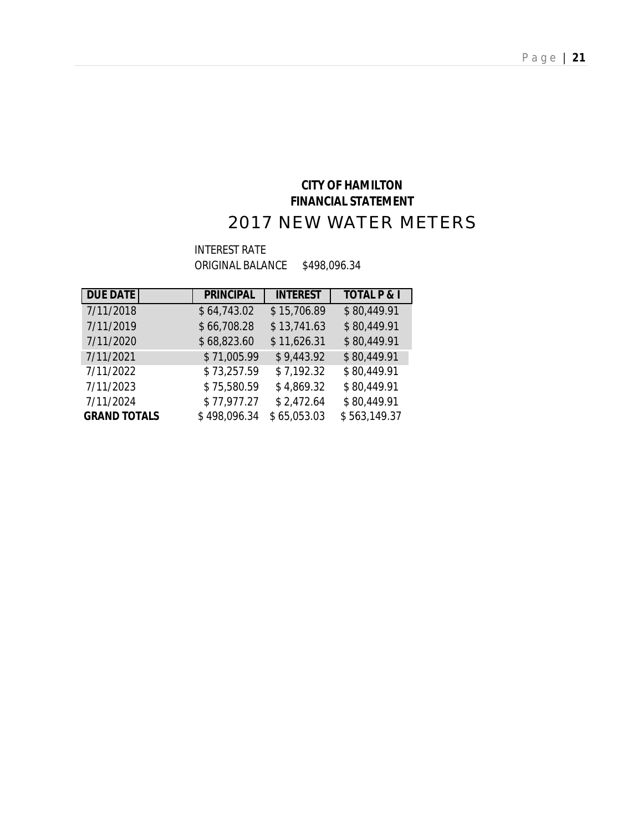## **CITY OF HAMILTON FINANCIAL STATEMENT** 2017 NEW WATER METERS

#### INTEREST RATE ORIGINAL BALANCE \$498,096.34

| <b>DUE DATE</b>     | <b>PRINCIPAL</b> | <b>INTEREST</b> | <b>TOTAL P &amp; I</b> |
|---------------------|------------------|-----------------|------------------------|
| 7/11/2018           | \$64,743.02      | \$15,706.89     | \$80,449.91            |
| 7/11/2019           | \$66,708.28      | \$13,741.63     | \$80,449.91            |
| 7/11/2020           | \$68,823.60      | \$11,626.31     | \$80,449.91            |
| 7/11/2021           | \$71,005.99      | \$9,443.92      | \$80,449.91            |
| 7/11/2022           | \$73,257.59      | \$7,192.32      | \$80,449.91            |
| 7/11/2023           | \$75,580.59      | \$4,869.32      | \$80,449.91            |
| 7/11/2024           | \$77,977.27      | \$2,472.64      | \$80,449.91            |
| <b>GRAND TOTALS</b> | \$498,096.34     | \$65,053.03     | \$563,149.37           |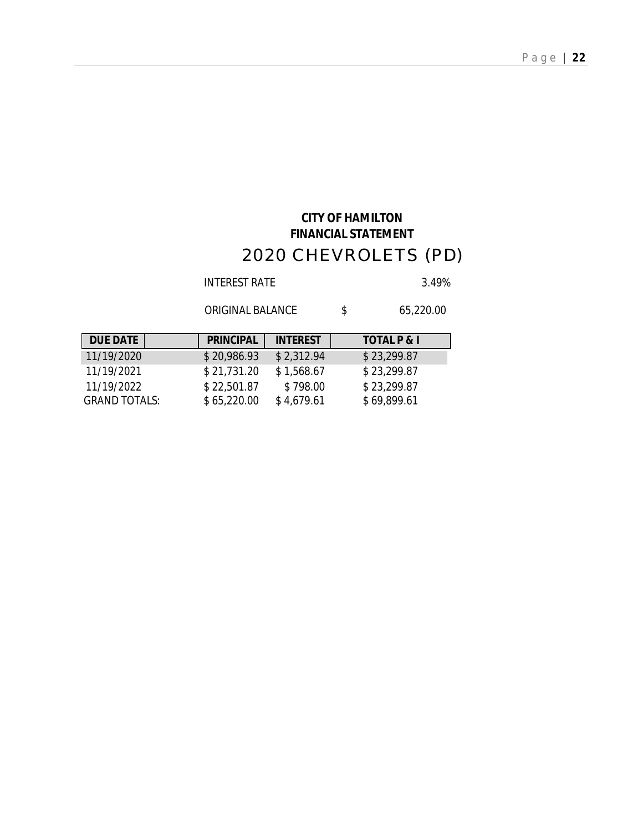# **CITY OF HAMILTON FINANCIAL STATEMENT** 2020 CHEVROLETS (PD)

INTEREST RATE 3.49%

ORIGINAL BALANCE  $$65,220.00$ 

| <b>DUE DATE</b> | <b>PRINCIPAL</b> | <b>INTEREST</b> | <b>TOTAL P &amp; I</b> |
|-----------------|------------------|-----------------|------------------------|
| 11/19/2020      | \$20,986.93      | \$2,312.94      | \$23,299.87            |
| 11/19/2021      | \$21,731.20      | \$1,568.67      | \$23,299.87            |
| 11/19/2022      | \$22,501.87      | \$798.00        | \$23,299.87            |
| GRAND TOTALS:   | \$65,220.00      | \$4,679.61      | \$69,899.61            |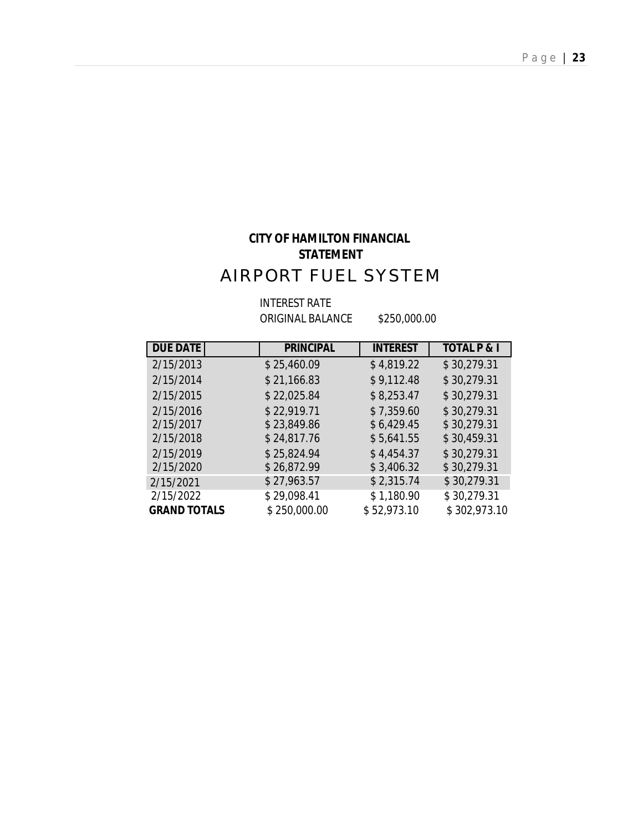# **CITY OF HAMILTON FINANCIAL STATEMENT** AIRPORT FUEL SYSTEM

INTEREST RATE

ORIGINAL BALANCE \$250,000.00

| <b>DUE DATE</b>     | <b>PRINCIPAL</b> | <b>INTEREST</b> | <b>TOTAL P &amp; I</b> |
|---------------------|------------------|-----------------|------------------------|
| 2/15/2013           | \$25,460.09      | \$4,819.22      | \$30,279.31            |
| 2/15/2014           | \$21,166.83      | \$9,112.48      | \$30,279.31            |
| 2/15/2015           | \$22,025.84      | \$8,253.47      | \$30,279.31            |
| 2/15/2016           | \$22,919.71      | \$7,359.60      | \$30,279.31            |
| 2/15/2017           | \$23,849.86      | \$6,429.45      | \$30,279.31            |
| 2/15/2018           | \$24,817.76      | \$5,641.55      | \$30,459.31            |
| 2/15/2019           | \$25,824.94      | \$4,454.37      | \$30,279.31            |
| 2/15/2020           | \$26,872.99      | \$3,406.32      | \$30,279.31            |
| 2/15/2021           | \$27,963.57      | \$2,315.74      | \$30,279.31            |
| 2/15/2022           | \$29,098.41      | \$1,180.90      | \$30,279.31            |
| <b>GRAND TOTALS</b> | \$250,000.00     | \$52,973.10     | \$302,973.10           |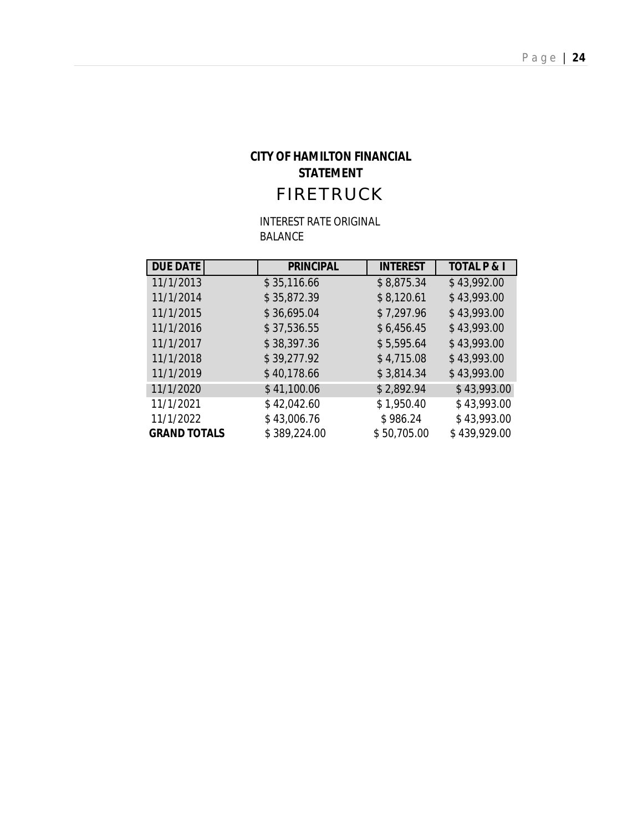## **CITY OF HAMILTON FINANCIAL STATEMENT** FIRETRUCK

INTEREST RATE ORIGINAL BALANCE

| <b>DUE DATE</b>     | <b>PRINCIPAL</b> | <b>INTEREST</b> | <b>TOTAL P &amp; I</b> |
|---------------------|------------------|-----------------|------------------------|
| 11/1/2013           | \$35,116.66      | \$8,875.34      | \$43,992.00            |
| 11/1/2014           | \$35,872.39      | \$8,120.61      | \$43,993.00            |
| 11/1/2015           | \$36,695.04      | \$7,297.96      | \$43,993.00            |
| 11/1/2016           | \$37,536.55      | \$6,456.45      | \$43,993.00            |
| 11/1/2017           | \$38,397.36      | \$5,595.64      | \$43,993.00            |
| 11/1/2018           | \$39,277.92      | \$4,715.08      | \$43,993.00            |
| 11/1/2019           | \$40,178.66      | \$3,814.34      | \$43,993.00            |
| 11/1/2020           | \$41,100.06      | \$2,892.94      | \$43,993.00            |
| 11/1/2021           | \$42,042.60      | \$1,950.40      | \$43,993.00            |
| 11/1/2022           | \$43,006.76      | \$986.24        | \$43,993.00            |
| <b>GRAND TOTALS</b> | \$389,224.00     | \$50,705.00     | \$439,929.00           |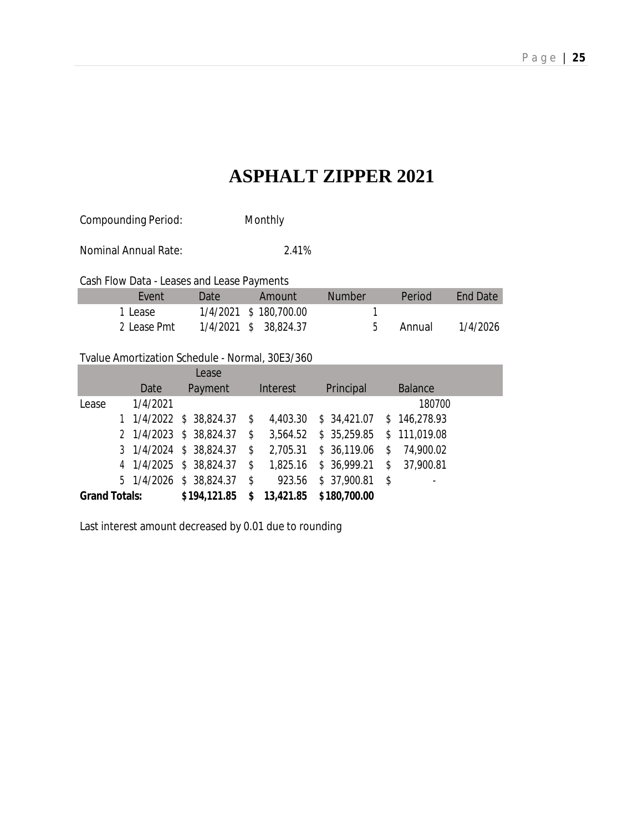# **ASPHALT ZIPPER 2021**

Compounding Period: Monthly

Nominal Annual Rate: 2.41%

Cash Flow Data - Leases and Lease Payments

| Fvent       | Date. | Amount                | Number | Period | <b>Fnd Date</b> |
|-------------|-------|-----------------------|--------|--------|-----------------|
| 1 Lease     |       | 1/4/2021 \$180,700.00 |        |        |                 |
| 2 Lease Pmt |       | 1/4/2021 \$ 38,824.37 |        | Annual | 1/4/2026        |

#### Tvalue Amortization Schedule - Normal, 30E3/360

|                      |          | Lease                                       |                            |                            |            |                              |
|----------------------|----------|---------------------------------------------|----------------------------|----------------------------|------------|------------------------------|
|                      | Date     | Payment                                     | Interest                   | Principal                  |            | <b>Balance</b>               |
| Lease                | 1/4/2021 |                                             |                            |                            |            | 180700                       |
|                      |          | 1 $1/4/2022$ \$ 38,824.37 \$                | 4,403.30                   | $$34,421.07$ $$146,278.93$ |            |                              |
|                      |          | 2 1/4/2023 \$ 38,824.37                     | \$<br>3,564.52             | $$35,259.85$ $$111,019.08$ |            |                              |
|                      |          | $3 \quad 1/4/2024 \quad $38,824.37 \quad $$ | 2,705.31                   | $$36,119.06$ \$            |            | 74,900.02                    |
|                      |          | 4 1/4/2025 \$ 38,824.37                     | \$<br>1,825.16             | \$36,999.21                | $\sqrt{3}$ | 37,900.81                    |
|                      |          | 5 1/4/2026 \$ 38,824.37 \$                  | 923.56                     | \$37,900.81                | - \$       | $\qquad \qquad \blacksquare$ |
| <b>Grand Totals:</b> |          | \$194,121.85                                | $$13,421.85$ $$180,700.00$ |                            |            |                              |

Last interest amount decreased by 0.01 due to rounding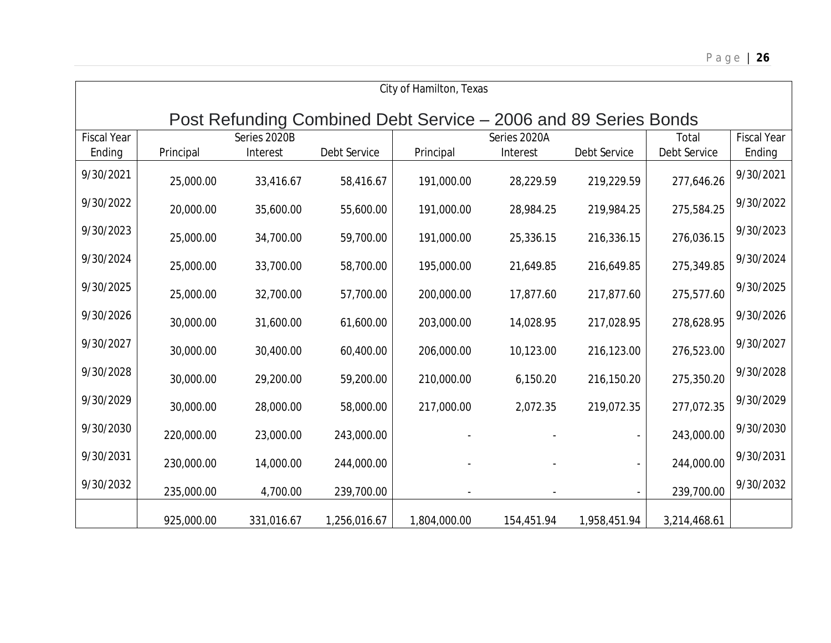| City of Hamilton, Texas                                         |            |              |              |              |              |              |              |                    |  |  |  |  |  |
|-----------------------------------------------------------------|------------|--------------|--------------|--------------|--------------|--------------|--------------|--------------------|--|--|--|--|--|
| Post Refunding Combined Debt Service – 2006 and 89 Series Bonds |            |              |              |              |              |              |              |                    |  |  |  |  |  |
| <b>Fiscal Year</b>                                              |            | Series 2020B |              |              | Series 2020A |              | Total        | <b>Fiscal Year</b> |  |  |  |  |  |
| Ending                                                          | Principal  | Interest     | Debt Service | Principal    | Interest     | Debt Service | Debt Service | Ending             |  |  |  |  |  |
| 9/30/2021                                                       | 25,000.00  | 33,416.67    | 58,416.67    | 191,000.00   | 28,229.59    | 219,229.59   | 277,646.26   | 9/30/2021          |  |  |  |  |  |
| 9/30/2022                                                       | 20,000.00  | 35,600.00    | 55,600.00    | 191,000.00   | 28,984.25    | 219,984.25   | 275,584.25   | 9/30/2022          |  |  |  |  |  |
| 9/30/2023                                                       | 25,000.00  | 34,700.00    | 59,700.00    | 191,000.00   | 25,336.15    | 216,336.15   | 276,036.15   | 9/30/2023          |  |  |  |  |  |
| 9/30/2024                                                       | 25,000.00  | 33,700.00    | 58,700.00    | 195,000.00   | 21,649.85    | 216,649.85   | 275,349.85   | 9/30/2024          |  |  |  |  |  |
| 9/30/2025                                                       | 25,000.00  | 32,700.00    | 57,700.00    | 200,000.00   | 17,877.60    | 217,877.60   | 275,577.60   | 9/30/2025          |  |  |  |  |  |
| 9/30/2026                                                       | 30,000.00  | 31,600.00    | 61,600.00    | 203,000.00   | 14,028.95    | 217,028.95   | 278,628.95   | 9/30/2026          |  |  |  |  |  |
| 9/30/2027                                                       | 30,000.00  | 30,400.00    | 60,400.00    | 206,000.00   | 10,123.00    | 216,123.00   | 276,523.00   | 9/30/2027          |  |  |  |  |  |
| 9/30/2028                                                       | 30,000.00  | 29,200.00    | 59,200.00    | 210,000.00   | 6,150.20     | 216,150.20   | 275,350.20   | 9/30/2028          |  |  |  |  |  |
| 9/30/2029                                                       | 30,000.00  | 28,000.00    | 58,000.00    | 217,000.00   | 2,072.35     | 219,072.35   | 277,072.35   | 9/30/2029          |  |  |  |  |  |
| 9/30/2030                                                       | 220,000.00 | 23,000.00    | 243,000.00   |              |              |              | 243,000.00   | 9/30/2030          |  |  |  |  |  |
| 9/30/2031                                                       | 230,000.00 | 14,000.00    | 244,000.00   |              |              |              | 244,000.00   | 9/30/2031          |  |  |  |  |  |
| 9/30/2032                                                       | 235,000.00 | 4,700.00     | 239,700.00   |              |              |              | 239,700.00   | 9/30/2032          |  |  |  |  |  |
|                                                                 | 925,000.00 | 331,016.67   | 1,256,016.67 | 1,804,000.00 | 154,451.94   | 1,958,451.94 | 3,214,468.61 |                    |  |  |  |  |  |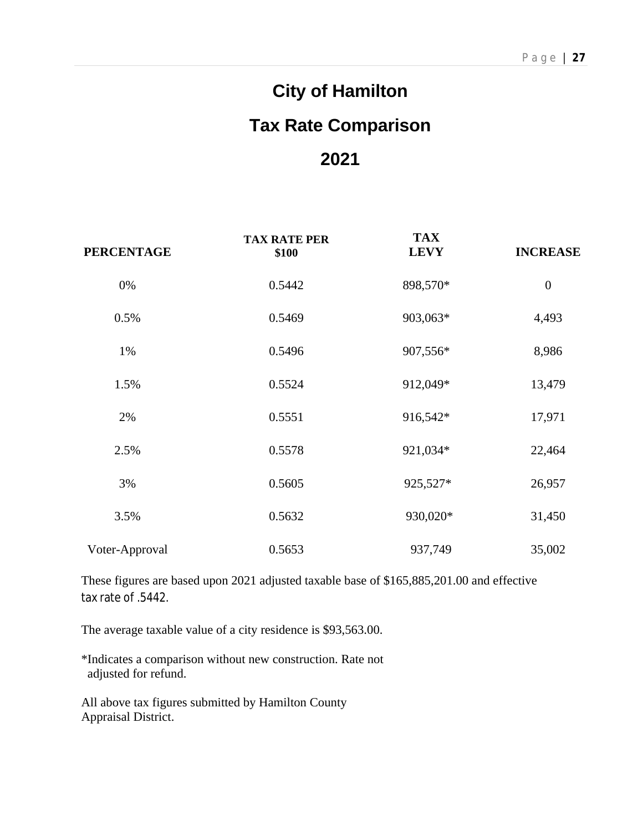# **City of Hamilton Tax Rate Comparison 2021**

| <b>PERCENTAGE</b> | <b>TAX RATE PER</b><br>\$100 | <b>TAX</b><br><b>LEVY</b> | <b>INCREASE</b>  |
|-------------------|------------------------------|---------------------------|------------------|
| 0%                | 0.5442                       | 898,570*                  | $\boldsymbol{0}$ |
| 0.5%              | 0.5469                       | 903,063*                  | 4,493            |
| 1%                | 0.5496                       | 907,556*                  | 8,986            |
| 1.5%              | 0.5524                       | 912,049*                  | 13,479           |
| 2%                | 0.5551                       | 916,542*                  | 17,971           |
| 2.5%              | 0.5578                       | 921,034*                  | 22,464           |
| 3%                | 0.5605                       | 925,527*                  | 26,957           |
| 3.5%              | 0.5632                       | 930,020*                  | 31,450           |
| Voter-Approval    | 0.5653                       | 937,749                   | 35,002           |

These figures are based upon 2021 adjusted taxable base of \$165,885,201.00 and effective tax rate of .5442.

The average taxable value of a city residence is \$93,563.00.

\*Indicates a comparison without new construction. Rate not adjusted for refund.

All above tax figures submitted by Hamilton County Appraisal District.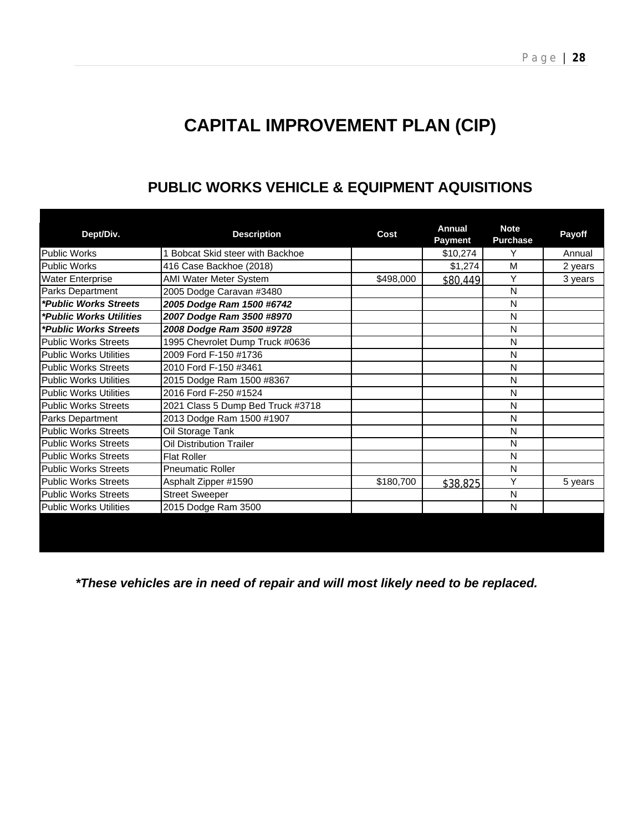# **CAPITAL IMPROVEMENT PLAN (CIP)**

| Dept/Div.                     | <b>Description</b>                | Cost      | <b>Annual</b><br>Payment | <b>Note</b><br><b>Purchase</b> | Payoff  |
|-------------------------------|-----------------------------------|-----------|--------------------------|--------------------------------|---------|
| <b>Public Works</b>           | 1 Bobcat Skid steer with Backhoe  |           | \$10,274                 | Y                              | Annual  |
| <b>Public Works</b>           | 416 Case Backhoe (2018)           |           | \$1,274                  | M                              | 2 years |
| <b>Water Enterprise</b>       | <b>AMI Water Meter System</b>     | \$498,000 | \$80,449                 | Y                              | 3 years |
| Parks Department              | 2005 Dodge Caravan #3480          |           |                          | N                              |         |
| *Public Works Streets         | 2005 Dodge Ram 1500 #6742         |           |                          | N                              |         |
| *Public Works Utilities       | 2007 Dodge Ram 3500 #8970         |           |                          | N                              |         |
| *Public Works Streets         | 2008 Dodge Ram 3500 #9728         |           |                          | N                              |         |
| <b>Public Works Streets</b>   | 1995 Chevrolet Dump Truck #0636   |           |                          | N                              |         |
| <b>Public Works Utilities</b> | 2009 Ford F-150 #1736             |           |                          | N                              |         |
| <b>Public Works Streets</b>   | 2010 Ford F-150 #3461             |           |                          | N                              |         |
| <b>Public Works Utilities</b> | 2015 Dodge Ram 1500 #8367         |           |                          | N                              |         |
| <b>Public Works Utilities</b> | 2016 Ford F-250 #1524             |           |                          | N                              |         |
| <b>Public Works Streets</b>   | 2021 Class 5 Dump Bed Truck #3718 |           |                          | N                              |         |
| Parks Department              | 2013 Dodge Ram 1500 #1907         |           |                          | N                              |         |
| <b>Public Works Streets</b>   | Oil Storage Tank                  |           |                          | N                              |         |
| <b>Public Works Streets</b>   | <b>Oil Distribution Trailer</b>   |           |                          | N                              |         |
| <b>Public Works Streets</b>   | <b>Flat Roller</b>                |           |                          | N                              |         |
| <b>Public Works Streets</b>   | <b>Pneumatic Roller</b>           |           |                          | N                              |         |
| <b>Public Works Streets</b>   | Asphalt Zipper #1590              | \$180,700 | \$38,825                 | Y                              | 5 years |
| <b>Public Works Streets</b>   | <b>Street Sweeper</b>             |           |                          | N                              |         |
| <b>Public Works Utilities</b> | 2015 Dodge Ram 3500               |           |                          | N                              |         |
|                               |                                   |           |                          |                                |         |
|                               |                                   |           |                          |                                |         |
|                               |                                   |           |                          |                                |         |

## **PUBLIC WORKS VEHICLE & EQUIPMENT AQUISITIONS**

*\*These vehicles are in need of repair and will most likely need to be replaced.*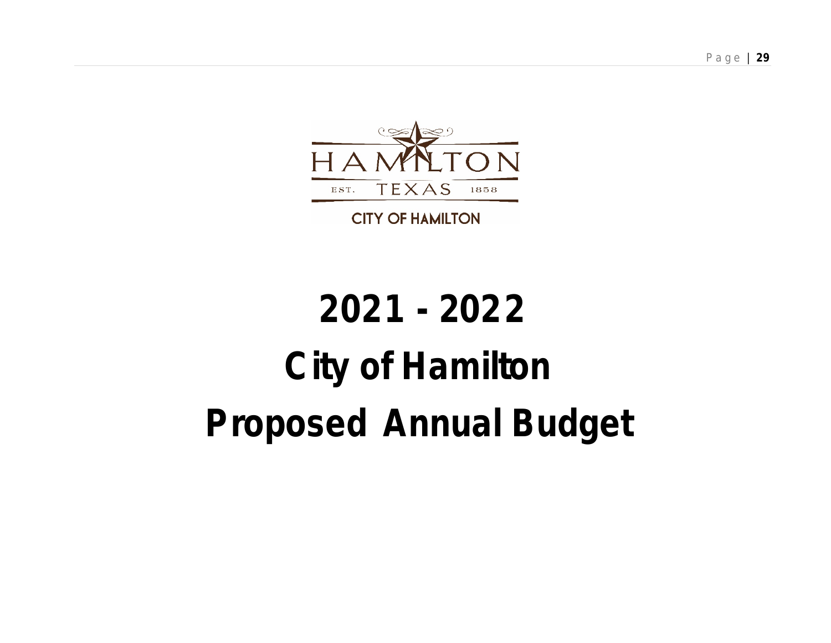

**CITY OF HAMILTON** 

# **2021 - 2022 City of Hamilton Proposed Annual Budget**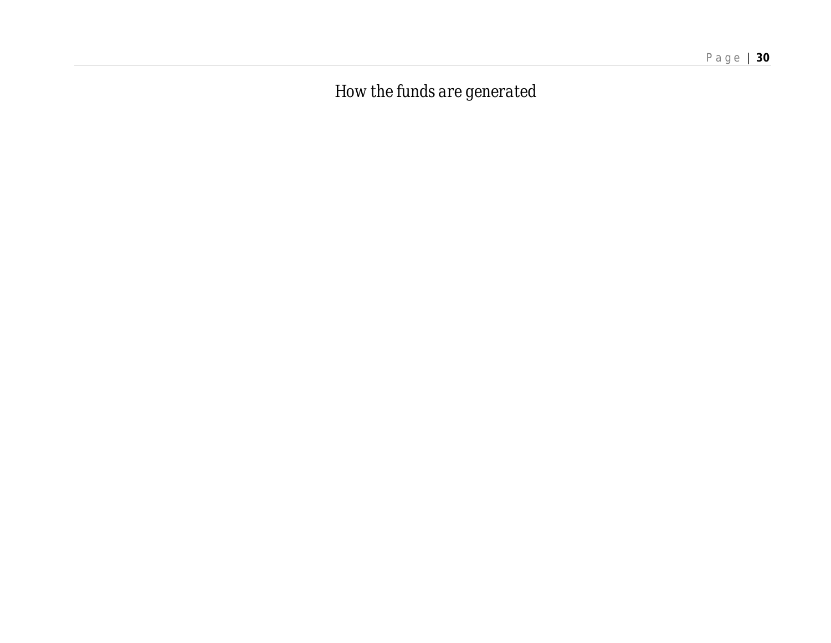*How the funds are generated*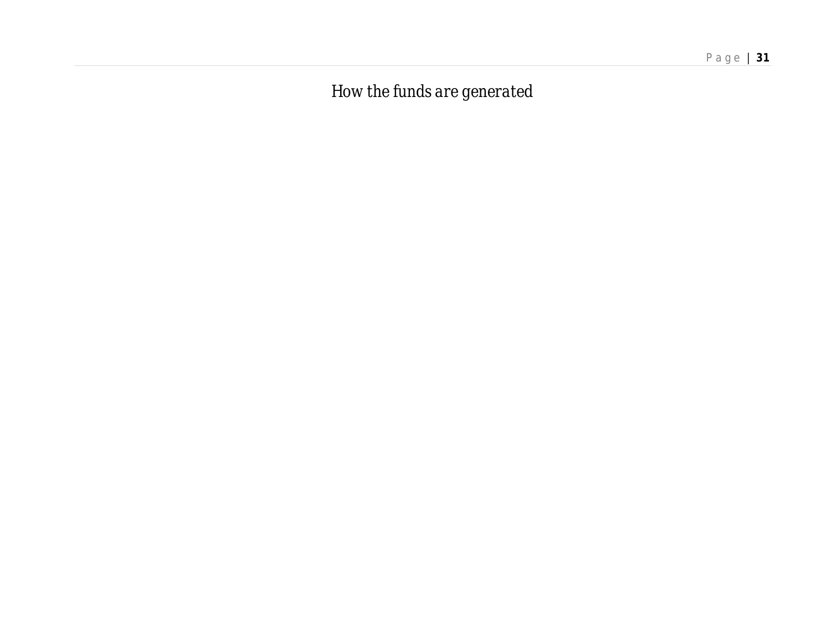*How the funds are generated*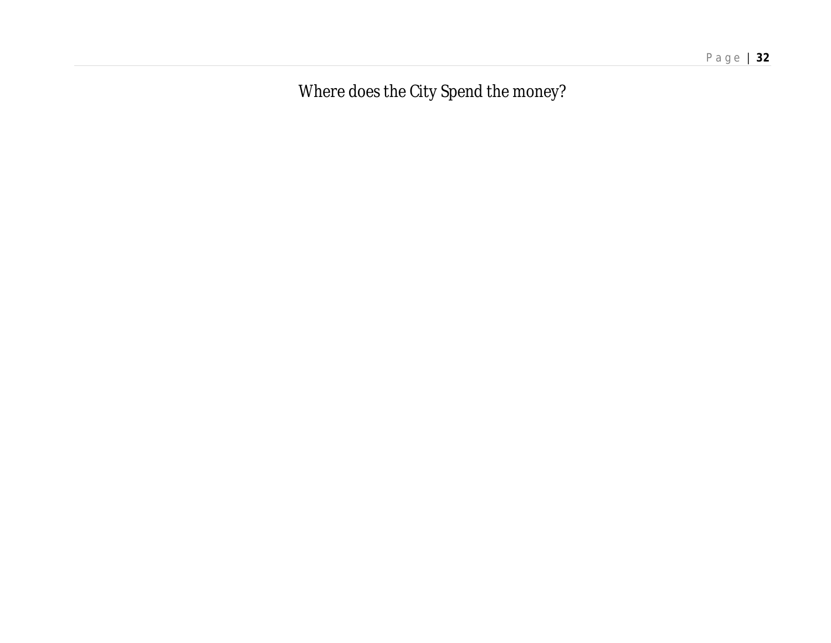P a g e | **32**

*Where does the City Spend the money?*